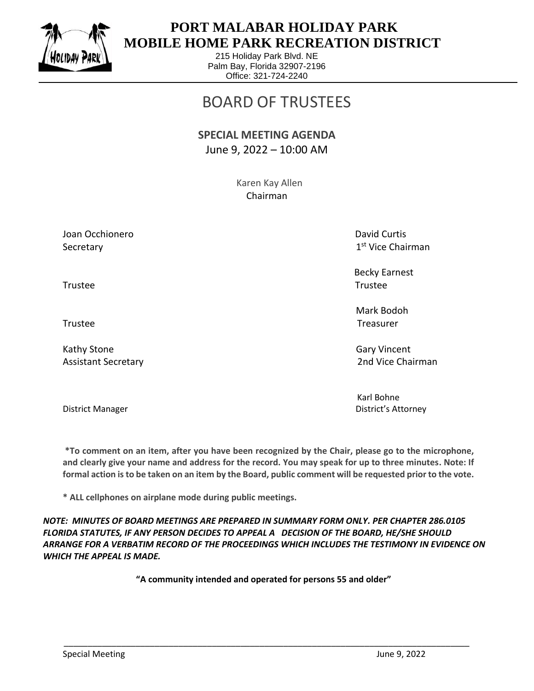

 $\overline{a}$ 

## **PORT MALABAR HOLIDAY PARK MOBILE HOME PARK RECREATION DISTRICT**

215 Holiday Park Blvd. NE Palm Bay, Florida 32907-2196 Office: 321-724-2240

## BOARD OF TRUSTEES

## **SPECIAL MEETING AGENDA** June 9, 2022 – 10:00 AM

 Karen Kay Allen Chairman

Joan Occhionero **David Curtis** Curtis Curtis Curtis Curtis Curtis Curtis Curtis Curtis Curtis Curtis Curtis Curtis Secretary

1<sup>st</sup> Vice Chairman

 Becky Earnest Trustee Trustee

 Mark Bodoh Trustee Trustee

Kathy Stone Gary Vincent Control of the Gary Vincent Control of the Gary Vincent Control of the Gary Vincent Co Assistant Secretary 2nd Vice Chairman

Karl Bohne District Manager District's Attorney

**\*To comment on an item, after you have been recognized by the Chair, please go to the microphone, and clearly give your name and address for the record. You may speak for up to three minutes. Note: If formal action is to be taken on an item by the Board, public comment will be requested prior to the vote.**

**\* ALL cellphones on airplane mode during public meetings.**

*NOTE: MINUTES OF BOARD MEETINGS ARE PREPARED IN SUMMARY FORM ONLY. PER CHAPTER 286.0105 FLORIDA STATUTES, IF ANY PERSON DECIDES TO APPEAL A DECISION OF THE BOARD, HE/SHE SHOULD ARRANGE FOR A VERBATIM RECORD OF THE PROCEEDINGS WHICH INCLUDES THE TESTIMONY IN EVIDENCE ON WHICH THE APPEAL IS MADE.*

**"A community intended and operated for persons 55 and older"**

\_\_\_\_\_\_\_\_\_\_\_\_\_\_\_\_\_\_\_\_\_\_\_\_\_\_\_\_\_\_\_\_\_\_\_\_\_\_\_\_\_\_\_\_\_\_\_\_\_\_\_\_\_\_\_\_\_\_\_\_\_\_\_\_\_\_\_\_\_\_\_\_\_\_\_\_\_\_\_\_\_\_\_\_\_

Special Meeting Special Meeting June 9, 2022